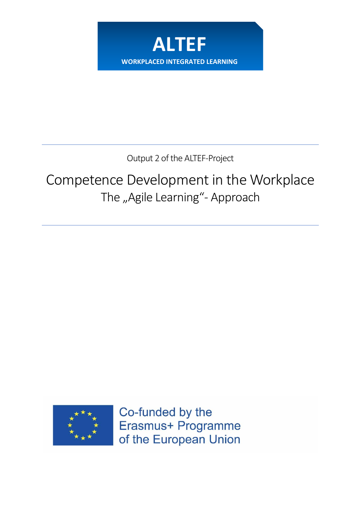

Output 2 of the ALTEF-Project

# Competence Development in the Workplace The "Agile Learning"- Approach



Co-funded by the Erasmus+ Programme of the European Union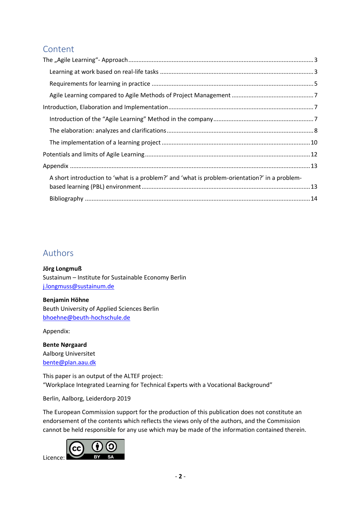## Content

| A short introduction to 'what is a problem?' and 'what is problem-orientation?' in a problem- |  |
|-----------------------------------------------------------------------------------------------|--|
|                                                                                               |  |
|                                                                                               |  |

## Authors

**Jörg Longmuß**

Sustainum – Institute for Sustainable Economy Berlin [j.longmuss@sustainum.de](mailto:j.longmuss@sustainum.de)

#### **Benjamin Höhne**

Beuth University of Applied Sciences Berlin [bhoehne@beuth-hochschule.de](mailto:bhoehne@beuth-hochschule.de)

Appendix:

**Bente Nørgaard** Aalborg Universitet [bente@plan.aau.dk](mailto:bente@plan.aau.dk)

This paper is an output of the ALTEF project: "Workplace Integrated Learning for Technical Experts with a Vocational Background"

Berlin, Aalborg, Leiderdorp 2019

The European Commission support for the production of this publication does not constitute an endorsement of the contents which reflects the views only of the authors, and the Commission cannot be held responsible for any use which may be made of the information contained therein.

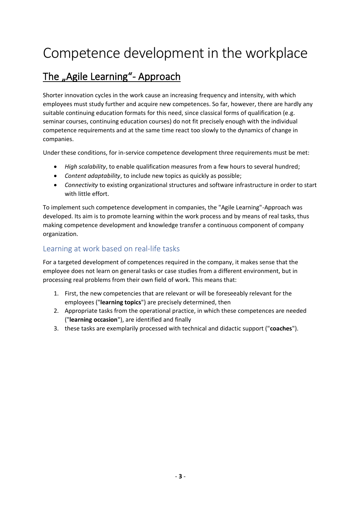# Competence development in the workplace

## <span id="page-2-0"></span>The "Agile Learning"- Approach

Shorter innovation cycles in the work cause an increasing frequency and intensity, with which employees must study further and acquire new competences. So far, however, there are hardly any suitable continuing education formats for this need, since classical forms of qualification (e.g. seminar courses, continuing education courses) do not fit precisely enough with the individual competence requirements and at the same time react too slowly to the dynamics of change in companies.

Under these conditions, for in-service competence development three requirements must be met:

- *High scalability*, to enable qualification measures from a few hours to several hundred;
- *Content adaptability*, to include new topics as quickly as possible;
- *Connectivity* to existing organizational structures and software infrastructure in order to start with little effort.

To implement such competence development in companies, the "Agile Learning"-Approach was developed. Its aim is to promote learning within the work process and by means of real tasks, thus making competence development and knowledge transfer a continuous component of company organization.

#### <span id="page-2-1"></span>Learning at work based on real-life tasks

For a targeted development of competences required in the company, it makes sense that the employee does not learn on general tasks or case studies from a different environment, but in processing real problems from their own field of work. This means that:

- 1. First, the new competencies that are relevant or will be foreseeably relevant for the employees ("**learning topics**") are precisely determined, then
- 2. Appropriate tasks from the operational practice, in which these competences are needed ("**learning occasion**"), are identified and finally
- 3. these tasks are exemplarily processed with technical and didactic support ("**coaches**").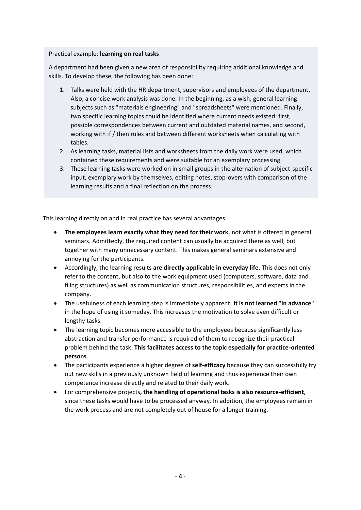#### Practical example: **learning on real tasks**

A department had been given a new area of responsibility requiring additional knowledge and skills. To develop these, the following has been done:

- 1. Talks were held with the HR department, supervisors and employees of the department. Also, a concise work analysis was done. In the beginning, as a wish, general learning subjects such as "materials engineering" and "spreadsheets" were mentioned. Finally, two specific learning topics could be identified where current needs existed: first, possible correspondences between current and outdated material names, and second, working with if / then rules and between different worksheets when calculating with tables.
- 2. As learning tasks, material lists and worksheets from the daily work were used, which contained these requirements and were suitable for an exemplary processing.
- 3. These learning tasks were worked on in small groups in the alternation of subject-specific input, exemplary work by themselves, editing notes, stop-overs with comparison of the learning results and a final reflection on the process.

This learning directly on and in real practice has several advantages:

- **The employees learn exactly what they need for their work**, not what is offered in general seminars. Admittedly, the required content can usually be acquired there as well, but together with many unnecessary content. This makes general seminars extensive and annoying for the participants.
- Accordingly, the learning results **are directly applicable in everyday life**. This does not only refer to the content, but also to the work equipment used (computers, software, data and filing structures) as well as communication structures, responsibilities, and experts in the company.
- The usefulness of each learning step is immediately apparent. **It is not learned "in advance"** in the hope of using it someday. This increases the motivation to solve even difficult or lengthy tasks.
- The learning topic becomes more accessible to the employees because significantly less abstraction and transfer performance is required of them to recognize their practical problem behind the task. **This facilitates access to the topic especially for practice-oriented persons**.
- The participants experience a higher degree of **self-efficacy** because they can successfully try out new skills in a previously unknown field of learning and thus experience their own competence increase directly and related to their daily work.
- For comprehensive projects**, the handling of operational tasks is also resource-efficient**, since these tasks would have to be processed anyway. In addition, the employees remain in the work process and are not completely out of house for a longer training.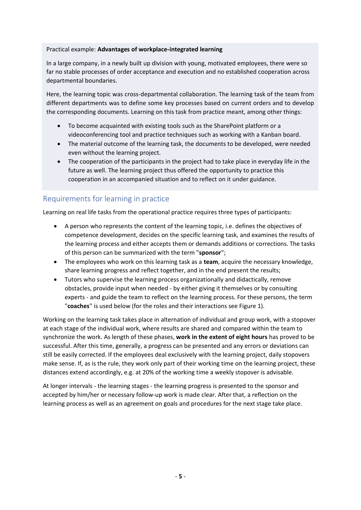#### Practical example: **Advantages of workplace-integrated learning**

In a large company, in a newly built up division with young, motivated employees, there were so far no stable processes of order acceptance and execution and no established cooperation across departmental boundaries.

Here, the learning topic was cross-departmental collaboration. The learning task of the team from different departments was to define some key processes based on current orders and to develop the corresponding documents. Learning on this task from practice meant, among other things:

- To become acquainted with existing tools such as the SharePoint platform or a videoconferencing tool and practice techniques such as working with a Kanban board.
- The material outcome of the learning task, the documents to be developed, were needed even without the learning project.
- The cooperation of the participants in the project had to take place in everyday life in the future as well. The learning project thus offered the opportunity to practice this cooperation in an accompanied situation and to reflect on it under guidance.

#### <span id="page-4-0"></span>Requirements for learning in practice

Learning on real life tasks from the operational practice requires three types of participants:

- A person who represents the content of the learning topic, i.e. defines the objectives of competence development, decides on the specific learning task, and examines the results of the learning process and either accepts them or demands additions or corrections. The tasks of this person can be summarized with the term "**sponsor**";
- The employees who work on this learning task as a **team**, acquire the necessary knowledge, share learning progress and reflect together, and in the end present the results;
- Tutors who supervise the learning process organizationally and didactically, remove obstacles, provide input when needed - by either giving it themselves or by consulting experts - and guide the team to reflect on the learning process. For these persons, the term "**coaches**" is used below (for the roles and their interactions see Figure 1).

Working on the learning task takes place in alternation of individual and group work, with a stopover at each stage of the individual work, where results are shared and compared within the team to synchronize the work. As length of these phases, **work in the extent of eight hours** has proved to be successful. After this time, generally, a progress can be presented and any errors or deviations can still be easily corrected. If the employees deal exclusively with the learning project, daily stopovers make sense. If, as is the rule, they work only part of their working time on the learning project, these distances extend accordingly, e.g. at 20% of the working time a weekly stopover is advisable.

At longer intervals - the learning stages - the learning progress is presented to the sponsor and accepted by him/her or necessary follow-up work is made clear. After that, a reflection on the learning process as well as an agreement on goals and procedures for the next stage take place.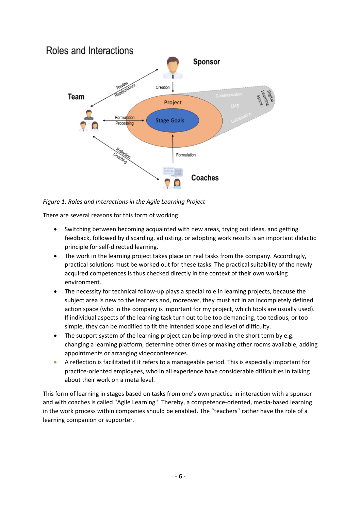

*Figure 1: Roles and Interactions in the Agile Learning Project*

There are several reasons for this form of working:

- Switching between becoming acquainted with new areas, trying out ideas, and getting feedback, followed by discarding, adjusting, or adopting work results is an important didactic principle for self-directed learning.
- The work in the learning project takes place on real tasks from the company. Accordingly, practical solutions must be worked out for these tasks. The practical suitability of the newly acquired competences is thus checked directly in the context of their own working environment.
- The necessity for technical follow-up plays a special role in learning projects, because the subject area is new to the learners and, moreover, they must act in an incompletely defined action space (who in the company is important for my project, which tools are usually used). If individual aspects of the learning task turn out to be too demanding, too tedious, or too simple, they can be modified to fit the intended scope and level of difficulty.
- The support system of the learning project can be improved in the short term by e.g. changing a learning platform, determine other times or making other rooms available, adding appointments or arranging videoconferences.
- A reflection is facilitated if it refers to a manageable period. This is especially important for practice-oriented employees, who in all experience have considerable difficulties in talking about their work on a meta level.

This form of learning in stages based on tasks from one's own practice in interaction with a sponsor and with coaches is called "Agile Learning". Thereby, a competence-oriented, media-based learning in the work process within companies should be enabled. The "teachers" rather have the role of a learning companion or supporter.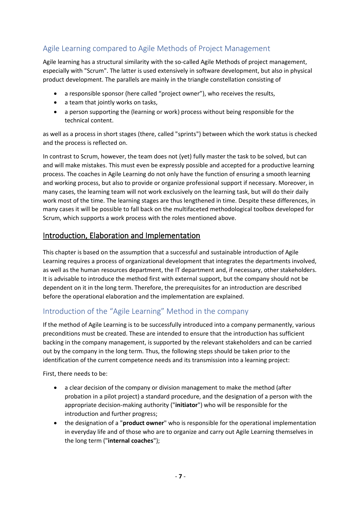## <span id="page-6-0"></span>Agile Learning compared to Agile Methods of Project Management

Agile learning has a structural similarity with the so-called Agile Methods of project management, especially with "Scrum". The latter is used extensively in software development, but also in physical product development. The parallels are mainly in the triangle constellation consisting of

- a responsible sponsor (here called "project owner"), who receives the results,
- a team that jointly works on tasks,
- a person supporting the (learning or work) process without being responsible for the technical content.

as well as a process in short stages (there, called "sprints") between which the work status is checked and the process is reflected on.

In contrast to Scrum, however, the team does not (yet) fully master the task to be solved, but can and will make mistakes. This must even be expressly possible and accepted for a productive learning process. The coaches in Agile Learning do not only have the function of ensuring a smooth learning and working process, but also to provide or organize professional support if necessary. Moreover, in many cases, the learning team will not work exclusively on the learning task, but will do their daily work most of the time. The learning stages are thus lengthened in time. Despite these differences, in many cases it will be possible to fall back on the multifaceted methodological toolbox developed for Scrum, which supports a work process with the roles mentioned above.

## <span id="page-6-1"></span>Introduction, Elaboration and Implementation

This chapter is based on the assumption that a successful and sustainable introduction of Agile Learning requires a process of organizational development that integrates the departments involved, as well as the human resources department, the IT department and, if necessary, other stakeholders. It is advisable to introduce the method first with external support, but the company should not be dependent on it in the long term. Therefore, the prerequisites for an introduction are described before the operational elaboration and the implementation are explained.

### <span id="page-6-2"></span>Introduction of the "Agile Learning" Method in the company

If the method of Agile Learning is to be successfully introduced into a company permanently, various preconditions must be created. These are intended to ensure that the introduction has sufficient backing in the company management, is supported by the relevant stakeholders and can be carried out by the company in the long term. Thus, the following steps should be taken prior to the identification of the current competence needs and its transmission into a learning project:

First, there needs to be:

- a clear decision of the company or division management to make the method (after probation in a pilot project) a standard procedure, and the designation of a person with the appropriate decision-making authority ("**initiator**") who will be responsible for the introduction and further progress;
- the designation of a "**product owner**" who is responsible for the operational implementation in everyday life and of those who are to organize and carry out Agile Learning themselves in the long term ("**internal coaches**");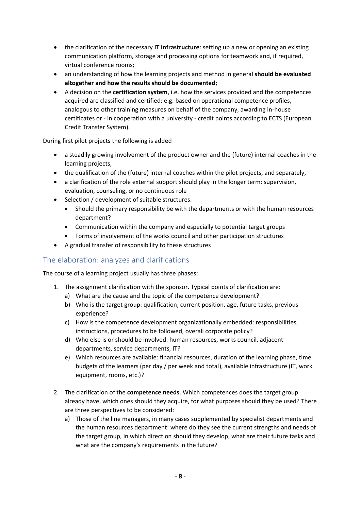- the clarification of the necessary **IT infrastructure**: setting up a new or opening an existing communication platform, storage and processing options for teamwork and, if required, virtual conference rooms;
- an understanding of how the learning projects and method in general **should be evaluated altogether and how the results should be documented**;
- A decision on the **certification system**, i.e. how the services provided and the competences acquired are classified and certified: e.g. based on operational competence profiles, analogous to other training measures on behalf of the company, awarding in-house certificates or - in cooperation with a university - credit points according to ECTS (European Credit Transfer System).

During first pilot projects the following is added

- a steadily growing involvement of the product owner and the (future) internal coaches in the learning projects,
- the qualification of the (future) internal coaches within the pilot projects, and separately,
- a clarification of the role external support should play in the longer term: supervision, evaluation, counseling, or no continuous role
- Selection / development of suitable structures:
	- Should the primary responsibility be with the departments or with the human resources department?
	- Communication within the company and especially to potential target groups
	- Forms of involvement of the works council and other participation structures
- A gradual transfer of responsibility to these structures

#### <span id="page-7-0"></span>The elaboration: analyzes and clarifications

The course of a learning project usually has three phases:

- 1. The assignment clarification with the sponsor. Typical points of clarification are:
	- a) What are the cause and the topic of the competence development?
	- b) Who is the target group: qualification, current position, age, future tasks, previous experience?
	- c) How is the competence development organizationally embedded: responsibilities, instructions, procedures to be followed, overall corporate policy?
	- d) Who else is or should be involved: human resources, works council, adjacent departments, service departments, IT?
	- e) Which resources are available: financial resources, duration of the learning phase, time budgets of the learners (per day / per week and total), available infrastructure (IT, work equipment, rooms, etc.)?
- 2. The clarification of the **competence needs**. Which competences does the target group already have, which ones should they acquire, for what purposes should they be used? There are three perspectives to be considered:
	- a) Those of the line managers, in many cases supplemented by specialist departments and the human resources department: where do they see the current strengths and needs of the target group, in which direction should they develop, what are their future tasks and what are the company's requirements in the future?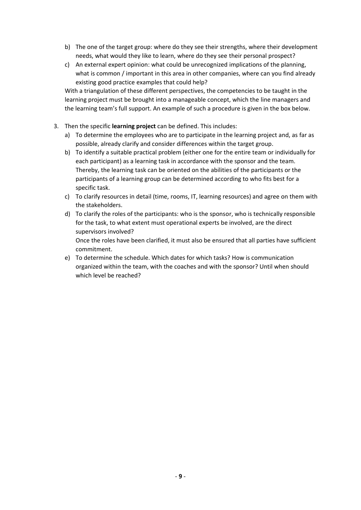- b) The one of the target group: where do they see their strengths, where their development needs, what would they like to learn, where do they see their personal prospect?
- c) An external expert opinion: what could be unrecognized implications of the planning, what is common / important in this area in other companies, where can you find already existing good practice examples that could help?

With a triangulation of these different perspectives, the competencies to be taught in the learning project must be brought into a manageable concept, which the line managers and the learning team's full support. An example of such a procedure is given in the box below.

- 3. Then the specific **learning project** can be defined. This includes:
	- a) To determine the employees who are to participate in the learning project and, as far as possible, already clarify and consider differences within the target group.
	- b) To identify a suitable practical problem (either one for the entire team or individually for each participant) as a learning task in accordance with the sponsor and the team. Thereby, the learning task can be oriented on the abilities of the participants or the participants of a learning group can be determined according to who fits best for a specific task.
	- c) To clarify resources in detail (time, rooms, IT, learning resources) and agree on them with the stakeholders.
	- d) To clarify the roles of the participants: who is the sponsor, who is technically responsible for the task, to what extent must operational experts be involved, are the direct supervisors involved?

Once the roles have been clarified, it must also be ensured that all parties have sufficient commitment.

e) To determine the schedule. Which dates for which tasks? How is communication organized within the team, with the coaches and with the sponsor? Until when should which level be reached?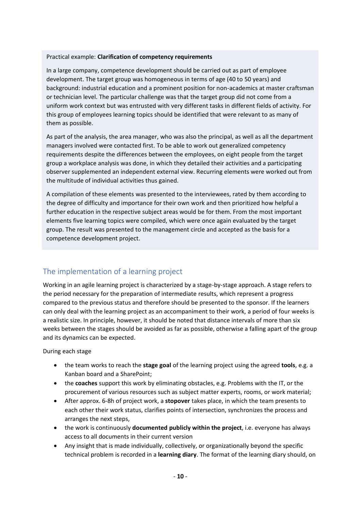#### Practical example: **Clarification of competency requirements**

In a large company, competence development should be carried out as part of employee development. The target group was homogeneous in terms of age (40 to 50 years) and background: industrial education and a prominent position for non-academics at master craftsman or technician level. The particular challenge was that the target group did not come from a uniform work context but was entrusted with very different tasks in different fields of activity. For this group of employees learning topics should be identified that were relevant to as many of them as possible.

As part of the analysis, the area manager, who was also the principal, as well as all the department managers involved were contacted first. To be able to work out generalized competency requirements despite the differences between the employees, on eight people from the target group a workplace analysis was done, in which they detailed their activities and a participating observer supplemented an independent external view. Recurring elements were worked out from the multitude of individual activities thus gained.

A compilation of these elements was presented to the interviewees, rated by them according to the degree of difficulty and importance for their own work and then prioritized how helpful a further education in the respective subject areas would be for them. From the most important elements five learning topics were compiled, which were once again evaluated by the target group. The result was presented to the management circle and accepted as the basis for a competence development project.

#### <span id="page-9-0"></span>The implementation of a learning project

Working in an agile learning project is characterized by a stage-by-stage approach. A stage refers to the period necessary for the preparation of intermediate results, which represent a progress compared to the previous status and therefore should be presented to the sponsor. If the learners can only deal with the learning project as an accompaniment to their work, a period of four weeks is a realistic size. In principle, however, it should be noted that distance intervals of more than six weeks between the stages should be avoided as far as possible, otherwise a falling apart of the group and its dynamics can be expected.

During each stage

- the team works to reach the **stage goal** of the learning project using the agreed **tools**, e.g. a Kanban board and a SharePoint;
- the **coaches** support this work by eliminating obstacles, e.g. Problems with the IT, or the procurement of various resources such as subject matter experts, rooms, or work material;
- After approx. 6-8h of project work, a **stopover** takes place, in which the team presents to each other their work status, clarifies points of intersection, synchronizes the process and arranges the next steps,
- the work is continuously **documented publicly within the project**, i.e. everyone has always access to all documents in their current version
- Any insight that is made individually, collectively, or organizationally beyond the specific technical problem is recorded in a **learning diary**. The format of the learning diary should, on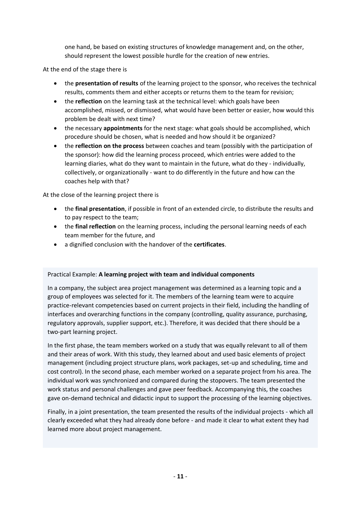one hand, be based on existing structures of knowledge management and, on the other, should represent the lowest possible hurdle for the creation of new entries.

At the end of the stage there is

- the **presentation of results** of the learning project to the sponsor, who receives the technical results, comments them and either accepts or returns them to the team for revision;
- the **reflection** on the learning task at the technical level: which goals have been accomplished, missed, or dismissed, what would have been better or easier, how would this problem be dealt with next time?
- the necessary **appointments** for the next stage: what goals should be accomplished, which procedure should be chosen, what is needed and how should it be organized?
- the **reflection on the process** between coaches and team (possibly with the participation of the sponsor): how did the learning process proceed, which entries were added to the learning diaries, what do they want to maintain in the future, what do they - individually, collectively, or organizationally - want to do differently in the future and how can the coaches help with that?

At the close of the learning project there is

- the **final presentation**, if possible in front of an extended circle, to distribute the results and to pay respect to the team;
- the **final reflection** on the learning process, including the personal learning needs of each team member for the future, and
- a dignified conclusion with the handover of the **certificates**.

#### Practical Example: **A learning project with team and individual components**

In a company, the subject area project management was determined as a learning topic and a group of employees was selected for it. The members of the learning team were to acquire practice-relevant competencies based on current projects in their field, including the handling of interfaces and overarching functions in the company (controlling, quality assurance, purchasing, regulatory approvals, supplier support, etc.). Therefore, it was decided that there should be a two-part learning project.

In the first phase, the team members worked on a study that was equally relevant to all of them and their areas of work. With this study, they learned about and used basic elements of project management (including project structure plans, work packages, set-up and scheduling, time and cost control). In the second phase, each member worked on a separate project from his area. The individual work was synchronized and compared during the stopovers. The team presented the work status and personal challenges and gave peer feedback. Accompanying this, the coaches gave on-demand technical and didactic input to support the processing of the learning objectives.

Finally, in a joint presentation, the team presented the results of the individual projects - which all clearly exceeded what they had already done before - and made it clear to what extent they had learned more about project management.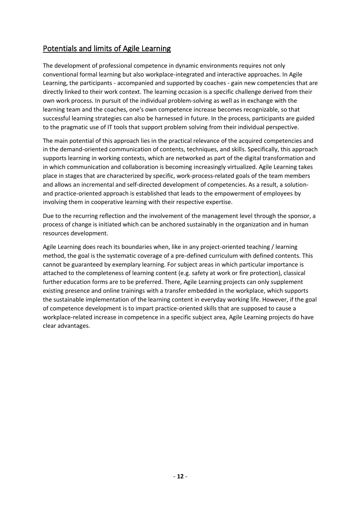#### <span id="page-11-0"></span>Potentials and limits of Agile Learning

The development of professional competence in dynamic environments requires not only conventional formal learning but also workplace-integrated and interactive approaches. In Agile Learning, the participants - accompanied and supported by coaches - gain new competencies that are directly linked to their work context. The learning occasion is a specific challenge derived from their own work process. In pursuit of the individual problem-solving as well as in exchange with the learning team and the coaches, one's own competence increase becomes recognizable, so that successful learning strategies can also be harnessed in future. In the process, participants are guided to the pragmatic use of IT tools that support problem solving from their individual perspective.

The main potential of this approach lies in the practical relevance of the acquired competencies and in the demand-oriented communication of contents, techniques, and skills. Specifically, this approach supports learning in working contexts, which are networked as part of the digital transformation and in which communication and collaboration is becoming increasingly virtualized. Agile Learning takes place in stages that are characterized by specific, work-process-related goals of the team members and allows an incremental and self-directed development of competencies. As a result, a solutionand practice-oriented approach is established that leads to the empowerment of employees by involving them in cooperative learning with their respective expertise.

Due to the recurring reflection and the involvement of the management level through the sponsor, a process of change is initiated which can be anchored sustainably in the organization and in human resources development.

Agile Learning does reach its boundaries when, like in any project-oriented teaching / learning method, the goal is the systematic coverage of a pre-defined curriculum with defined contents. This cannot be guaranteed by exemplary learning. For subject areas in which particular importance is attached to the completeness of learning content (e.g. safety at work or fire protection), classical further education forms are to be preferred. There, Agile Learning projects can only supplement existing presence and online trainings with a transfer embedded in the workplace, which supports the sustainable implementation of the learning content in everyday working life. However, if the goal of competence development is to impart practice-oriented skills that are supposed to cause a workplace-related increase in competence in a specific subject area, Agile Learning projects do have clear advantages.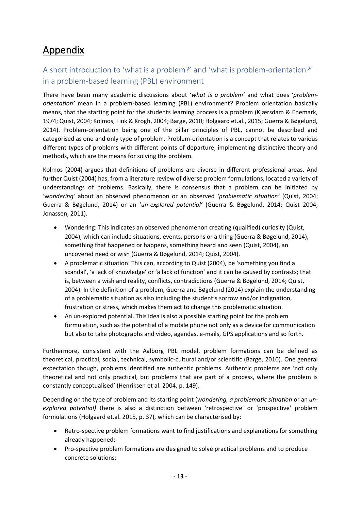## <span id="page-12-0"></span>Appendix

## <span id="page-12-1"></span>A short introduction to 'what is a problem?' and 'what is problem-orientation?' in a problem-based learning (PBL) environment

There have been many academic discussions about '*what is a problem'* and what does '*problemorientation'* mean in a problem-based learning (PBL) environment? Problem orientation basically means, that the starting point for the students learning process is a problem (Kjærsdam & Enemark, 1974; Quist, 2004; Kolmos, Fink & Krogh, 2004; Barge, 2010; Holgaard et.al., 2015; Guerra & Bøgelund, 2014). Problem-orientation being one of the pillar principles of PBL, cannot be described and categorised as one and only type of problem. Problem-orientation is a concept that relates to various different types of problems with different points of departure, implementing distinctive theory and methods, which are the means for solving the problem.

Kolmos (2004) argues that definitions of problems are diverse in different professional areas. And further Quist (2004) has, from a literature review of diverse problem formulations, located a variety of understandings of problems. Basically, there is consensus that a problem can be initiated by 'w*ondering'* about an observed phenomenon or an observed *'problematic situation'* (Quist, 2004; Guerra & Bøgelund, 2014) or an '*un-explored potential'* (Guerra & Bøgelund, 2014; Quist 2004; Jonassen, 2011).

- Wondering: This indicates an observed phenomenon creating (qualified) curiosity (Quist, 2004), which can include situations, events, persons or a thing (Guerra & Bøgelund, 2014), something that happened or happens, something heard and seen (Quist, 2004), an uncovered need or wish (Guerra & Bøgelund, 2014; Quist, 2004).
- A problematic situation: This can, according to Quist (2004), be 'something you find a scandal', 'a lack of knowledge' or 'a lack of function' and it can be caused by contrasts; that is, between a wish and reality, conflicts, contradictions (Guerra & Bøgelund, 2014; Quist, 2004). In the definition of a problem, Guerra and Bøgelund (2014) explain the understanding of a problematic situation as also including the student's sorrow and/or indignation, frustration or stress, which makes them act to change this problematic situation.
- An un-explored potential. This idea is also a possible starting point for the problem formulation, such as the potential of a mobile phone not only as a device for communication but also to take photographs and video, agendas, e-mails, GPS applications and so forth.

Furthermore, consistent with the Aalborg PBL model, problem formations can be defined as theoretical, practical, social, technical, symbolic-cultural and/or scientific (Barge, 2010). One general expectation though, problems identified are authentic problems. Authentic problems are 'not only theoretical and not only practical, but problems that are part of a process, where the problem is constantly conceptualised' (Henriksen et al. 2004, p. 149).

Depending on the type of problem and its starting point (w*ondering, a problematic situation* or an *unexplored potential)* there is also a distinction between 'retrospective' or 'prospective' problem formulations (Holgaard et.al. 2015, p. 37), which can be characterised by:

- Retro-spective problem formations want to find justifications and explanations for something already happened;
- Pro-spective problem formations are designed to solve practical problems and to produce concrete solutions;